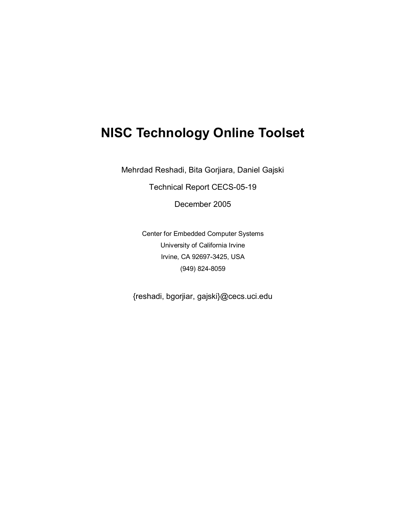# **NISC Technology Online Toolset**

Mehrdad Reshadi, Bita Gorjiara, Daniel Gajski

Technical Report CECS-05-19

December 2005

Center for Embedded Computer Systems University of California Irvine Irvine, CA 92697-3425, USA (949) 824-8059

{reshadi, bgorjiar, gajski}@cecs.uci.edu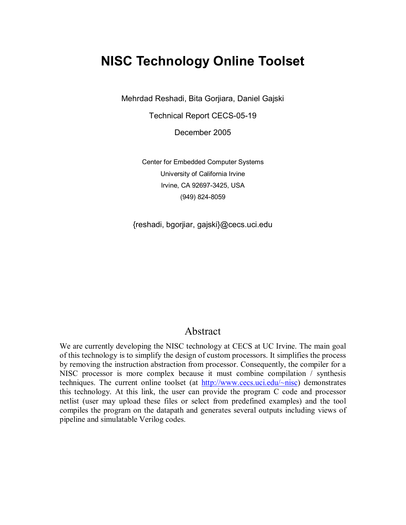# **NISC Technology Online Toolset**

Mehrdad Reshadi, Bita Gorjiara, Daniel Gajski

Technical Report CECS-05-19

December 2005

Center for Embedded Computer Systems University of California Irvine Irvine, CA 92697-3425, USA (949) 824-8059

{reshadi, bgorjiar, gajski}@cecs.uci.edu

#### Abstract

We are currently developing the NISC technology at CECS at UC Irvine. The main goal of this technology is to simplify the design of custom processors. It simplifies the process by removing the instruction abstraction from processor. Consequently, the compiler for a NISC processor is more complex because it must combine compilation / synthesis techniques. The current online toolset (at http://www.cecs.uci.edu/~nisc) demonstrates this technology. At this link, the user can provide the program C code and processor netlist (user may upload these files or select from predefined examples) and the tool compiles the program on the datapath and generates several outputs including views of pipeline and simulatable Verilog codes.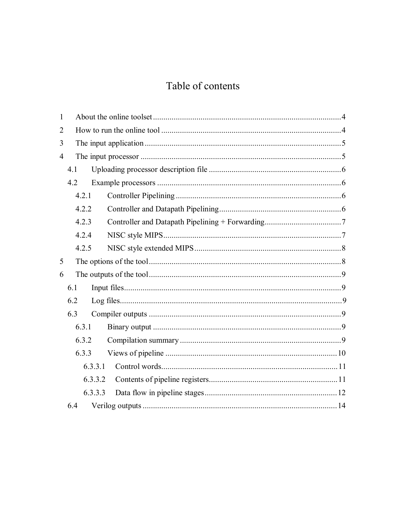## Table of contents

| $\mathbf{1}$   |         |  |
|----------------|---------|--|
| $\overline{2}$ |         |  |
| 3              |         |  |
| $\overline{4}$ |         |  |
|                | 4.1     |  |
|                | 4.2     |  |
|                | 4.2.1   |  |
|                | 4.2.2   |  |
|                | 4.2.3   |  |
|                | 4.2.4   |  |
|                | 4.2.5   |  |
| 5              |         |  |
| 6              |         |  |
|                | 6.1     |  |
|                | 6.2     |  |
|                | 6.3     |  |
|                | 6.3.1   |  |
|                | 6.3.2   |  |
|                | 6.3.3   |  |
|                | 6.3.3.1 |  |
|                | 6.3.3.2 |  |
|                | 6.3.3.3 |  |
|                | 6.4     |  |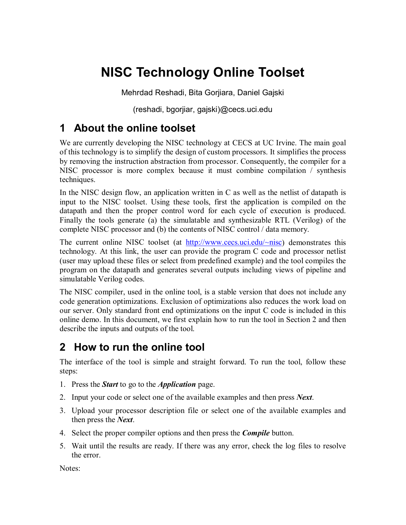# **NISC Technology Online Toolset**

Mehrdad Reshadi, Bita Gorjiara, Daniel Gajski

(reshadi, bgorjiar, gajski)@cecs.uci.edu

# **1 About the online toolset**

We are currently developing the NISC technology at CECS at UC Irvine. The main goal of this technology is to simplify the design of custom processors. It simplifies the process by removing the instruction abstraction from processor. Consequently, the compiler for a NISC processor is more complex because it must combine compilation / synthesis techniques.

In the NISC design flow, an application written in C as well as the netlist of datapath is input to the NISC toolset. Using these tools, first the application is compiled on the datapath and then the proper control word for each cycle of execution is produced. Finally the tools generate (a) the simulatable and synthesizable RTL (Verilog) of the complete NISC processor and (b) the contents of NISC control / data memory.

The current online NISC toolset (at  $\frac{http://www.eecs.uci.edu/~nisc)}{http://www.eecs.uci.edu/~nisc)}$  demonstrates this technology. At this link, the user can provide the program C code and processor netlist (user may upload these files or select from predefined example) and the tool compiles the program on the datapath and generates several outputs including views of pipeline and simulatable Verilog codes.

The NISC compiler, used in the online tool, is a stable version that does not include any code generation optimizations. Exclusion of optimizations also reduces the work load on our server. Only standard front end optimizations on the input C code is included in this online demo. In this document, we first explain how to run the tool in Section 2 and then describe the inputs and outputs of the tool.

# **2 How to run the online tool**

The interface of the tool is simple and straight forward. To run the tool, follow these steps:

- 1. Press the *Start* to go to the *Application* page.
- 2. Input your code or select one of the available examples and then press *Next*.
- 3. Upload your processor description file or select one of the available examples and then press the *Next*.
- 4. Select the proper compiler options and then press the *Compile* button.
- 5. Wait until the results are ready. If there was any error, check the log files to resolve the error.

Notes: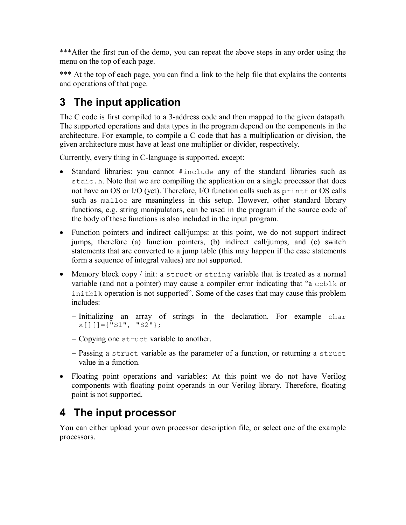\*\*\*After the first run of the demo, you can repeat the above steps in any order using the menu on the top of each page.

\*\*\* At the top of each page, you can find a link to the help file that explains the contents and operations of that page.

# **3 The input application**

The C code is first compiled to a 3-address code and then mapped to the given datapath. The supported operations and data types in the program depend on the components in the architecture. For example, to compile a C code that has a multiplication or division, the given architecture must have at least one multiplier or divider, respectively.

Currently, every thing in C-language is supported, except:

- · Standard libraries: you cannot #include any of the standard libraries such as stdio.h. Note that we are compiling the application on a single processor that does not have an OS or I/O (yet). Therefore, I/O function calls such as printf or OS calls such as malloc are meaningless in this setup. However, other standard library functions, e.g. string manipulators, can be used in the program if the source code of the body of these functions is also included in the input program.
- Function pointers and indirect call/jumps: at this point, we do not support indirect jumps, therefore (a) function pointers, (b) indirect call/jumps, and (c) switch statements that are converted to a jump table (this may happen if the case statements form a sequence of integral values) are not supported.
- Memory block copy / init: a struct or string variable that is treated as a normal variable (and not a pointer) may cause a compiler error indicating that "a cpblk or initblk operation is not supported". Some of the cases that may cause this problem includes:
	- Initializing an array of strings in the declaration. For example char  $x$ [][]={"S1", "S2"};
	- Copying one struct variable to another.
	- Passing a struct variable as the parameter of a function, or returning a struct value in a function.
- Floating point operations and variables: At this point we do not have Verilog components with floating point operands in our Verilog library. Therefore, floating point is not supported.

# **4 The input processor**

You can either upload your own processor description file, or select one of the example processors.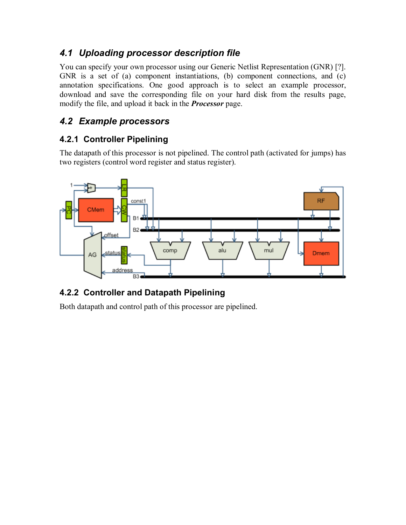### *4.1 Uploading processor description file*

You can specify your own processor using our Generic Netlist Representation (GNR) [?]. GNR is a set of (a) component instantiations, (b) component connections, and (c) annotation specifications. One good approach is to select an example processor, download and save the corresponding file on your hard disk from the results page, modify the file, and upload it back in the *Processor* page.

### *4.2 Example processors*

### **4.2.1 Controller Pipelining**

The datapath of this processor is not pipelined. The control path (activated for jumps) has two registers (control word register and status register).



### **4.2.2 Controller and Datapath Pipelining**

Both datapath and control path of this processor are pipelined.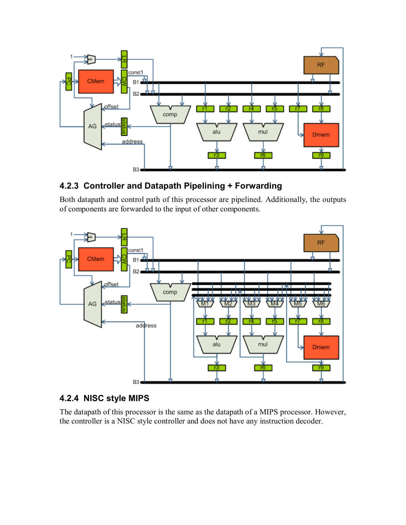

### **4.2.3 Controller and Datapath Pipelining + Forwarding**

Both datapath and control path of this processor are pipelined. Additionally, the outputs of components are forwarded to the input of other components.



#### **4.2.4 NISC style MIPS**

The datapath of this processor is the same as the datapath of a MIPS processor. However, the controller is a NISC style controller and does not have any instruction decoder.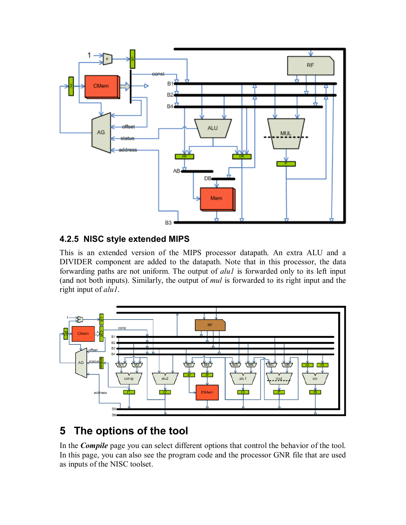

### **4.2.5 NISC style extended MIPS**

This is an extended version of the MIPS processor datapath. An extra ALU and a DIVIDER component are added to the datapath. Note that in this processor, the data forwarding paths are not uniform. The output of *alu1* is forwarded only to its left input (and not both inputs). Similarly, the output of *mul* is forwarded to its right input and the right input of *alu1*.



# **5 The options of the tool**

In the *Compile* page you can select different options that control the behavior of the tool. In this page, you can also see the program code and the processor GNR file that are used as inputs of the NISC toolset.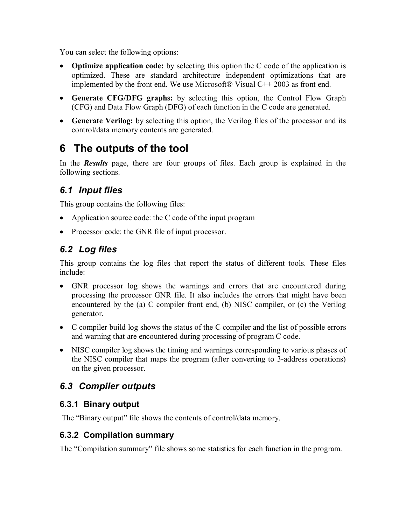You can select the following options:

- · **Optimize application code:** by selecting this option the C code of the application is optimized. These are standard architecture independent optimizations that are implemented by the front end. We use Microsoft $\&$  Visual C++ 2003 as front end.
- · **Generate CFG/DFG graphs:** by selecting this option, the Control Flow Graph (CFG) and Data Flow Graph (DFG) of each function in the C code are generated.
- · **Generate Verilog:** by selecting this option, the Verilog files of the processor and its control/data memory contents are generated.

# **6 The outputs of the tool**

In the *Results* page, there are four groups of files. Each group is explained in the following sections.

## *6.1 Input files*

This group contains the following files:

- Application source code: the C code of the input program
- Processor code: the GNR file of input processor.

### *6.2 Log files*

This group contains the log files that report the status of different tools. These files include:

- · GNR processor log shows the warnings and errors that are encountered during processing the processor GNR file. It also includes the errors that might have been encountered by the (a) C compiler front end, (b) NISC compiler, or (c) the Verilog generator.
- · C compiler build log shows the status of the C compiler and the list of possible errors and warning that are encountered during processing of program C code.
- NISC compiler log shows the timing and warnings corresponding to various phases of the NISC compiler that maps the program (after converting to 3-address operations) on the given processor.

### *6.3 Compiler outputs*

#### **6.3.1 Binary output**

The "Binary output" file shows the contents of control/data memory.

### **6.3.2 Compilation summary**

The "Compilation summary" file shows some statistics for each function in the program.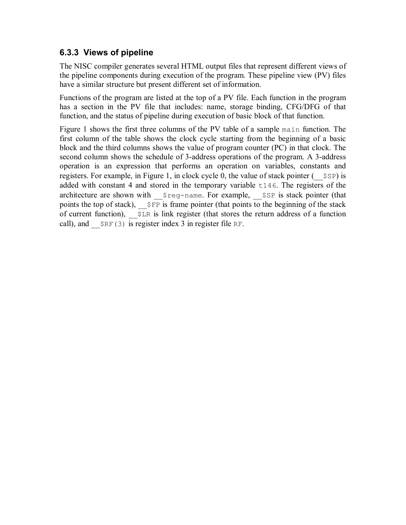### **6.3.3 Views of pipeline**

The NISC compiler generates several HTML output files that represent different views of the pipeline components during execution of the program. These pipeline view (PV) files have a similar structure but present different set of information.

Functions of the program are listed at the top of a PV file. Each function in the program has a section in the PV file that includes: name, storage binding, CFG/DFG of that function, and the status of pipeline during execution of basic block of that function.

Figure 1 shows the first three columns of the PV table of a sample main function. The first column of the table shows the clock cycle starting from the beginning of a basic block and the third columns shows the value of program counter (PC) in that clock. The second column shows the schedule of 3-address operations of the program. A 3-address operation is an expression that performs an operation on variables, constants and registers. For example, in Figure 1, in clock cycle 0, the value of stack pointer  $($   $\$   $\$   $\$   $\$  s  $\$   $\)$  is added with constant 4 and stored in the temporary variable t146. The registers of the architecture are shown with \_\_\$reg-name. For example, \_\_\$SP is stack pointer (that points the top of stack),  $\frac{1}{5}$   $\frac{1}{5}$  s frame pointer (that points to the beginning of the stack of current function),  $\sharp$   $\exists$  ER is link register (that stores the return address of a function call), and  $\frac{SRF(3)}{SRF(3)}$  is register index 3 in register file RF.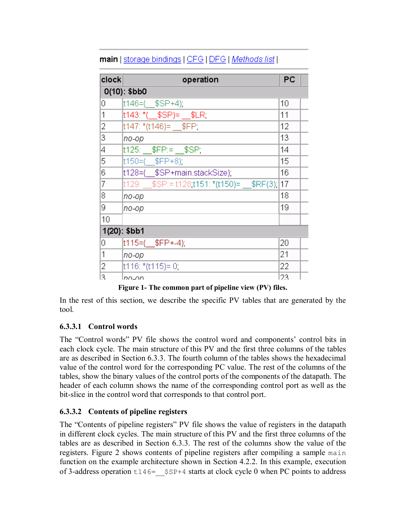| clock | operation                                | PC |
|-------|------------------------------------------|----|
|       | $O(10)$ : \$bb0                          |    |
| 0     | t146=( \$SP+4);                          | 10 |
| 1     | t143: *(__\$SP)= __\$LR:                 | 11 |
| 2     | t147: *(t146)= \$FP;                     | 12 |
| 3     | по-ор                                    | 13 |
| 4     | t125: \$FP:= \$SP;                       | 14 |
| 5     | t150=(\$FP+8);                           | 15 |
| 6     | t128=(\$SP+main.stackSize);              | 16 |
| 7     | t129: \$SP:= t128 t151: *(t150)= \$RF(3) | 17 |
| 8     | по-ор                                    | 18 |
| 9     | no-op                                    | 19 |
| 10    |                                          |    |
|       | $1(20)$ : \$bb1                          |    |
| 0     | t115=(\$FP+-4);                          | 20 |
| 1     | no-op                                    | 21 |
| 2     | t116: *(t115)= 0:                        | 22 |
| 13    | Inn-an                                   | 23 |

### main | storage bindings | CFG | DFG | Methods list |

**Figure 1- The common part of pipeline view (PV) files.** 

In the rest of this section, we describe the specific PV tables that are generated by the tool.

#### **6.3.3.1 Control words**

The "Control words" PV file shows the control word and components' control bits in each clock cycle. The main structure of this PV and the first three columns of the tables are as described in Section 6.3.3. The fourth column of the tables shows the hexadecimal value of the control word for the corresponding PC value. The rest of the columns of the tables, show the binary values of the control ports of the components of the datapath. The header of each column shows the name of the corresponding control port as well as the bit-slice in the control word that corresponds to that control port.

#### **6.3.3.2 Contents of pipeline registers**

The "Contents of pipeline registers" PV file shows the value of registers in the datapath in different clock cycles. The main structure of this PV and the first three columns of the tables are as described in Section 6.3.3. The rest of the columns show the value of the registers. Figure 2 shows contents of pipeline registers after compiling a sample main function on the example architecture shown in Section 4.2.2. In this example, execution of 3-address operation  $t146=$  \$SP+4 starts at clock cycle 0 when PC points to address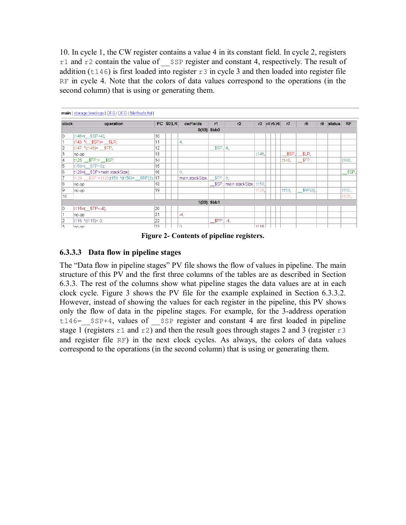10. In cycle 1, the CW register contains a value 4 in its constant field. In cycle 2, registers r1 and r2 contain the value of  $\frac{1}{5}$  specifier and constant 4, respectively. The result of addition (t146) is first loaded into register  $r3$  in cycle 3 and then loaded into register file RF in cycle 4. Note that the colors of data values correspond to the operations (in the second column) that is using or generating them.

|                | main   storage bindings   CFG   DFG   Methods list |    |          |                           |                    |                        |       |                     |                  |       |    |        |           |
|----------------|----------------------------------------------------|----|----------|---------------------------|--------------------|------------------------|-------|---------------------|------------------|-------|----|--------|-----------|
| clock          | operation                                          |    | PC \$0LR | cwFields                  | r1                 | r <sub>2</sub>         |       | $r3$ $r4$ $r5$ $r6$ | r7               | r8    | r9 | status | <b>RF</b> |
|                |                                                    |    |          |                           | $O(10)$ : \$bb0    |                        |       |                     |                  |       |    |        |           |
| $ 0\rangle$    | $t146=($ $$SP+4)$ ;                                | 10 |          |                           |                    |                        |       |                     |                  |       |    |        |           |
| 11             | $ t143;$ *( $$SP$ )= $$LR;$                        | 11 |          | 4.                        |                    |                        |       |                     |                  |       |    |        |           |
| 2              | $ t147;$ * $(t146)$ = \$FP;                        | 12 |          |                           | \$SP 4             |                        |       |                     |                  |       |    |        |           |
| $\overline{3}$ | no-op                                              | 13 |          |                           |                    |                        | t146. |                     | \$SP             | \$LR. |    |        |           |
| 4              | t125: __\$FP:= __\$SP;                             | 14 |          |                           |                    |                        |       |                     | t146.            | \$FP. |    |        | t146.     |
| 5              | t150=(\$FP+8);                                     | 15 |          |                           |                    |                        |       |                     |                  |       |    |        |           |
| 6              | t128=(\$SP+main.stackSize);                        | 16 |          | 8.                        |                    |                        |       |                     |                  |       |    |        | - \$SP.   |
| 7              | t129: \$SP:= t128:t151: *(t150)= \$RF(3): 17       |    |          | main.stackSize   \$FP   8 |                    |                        |       |                     |                  |       |    |        |           |
| 8              | no-op                                              | 18 |          |                           |                    | \$SP   main.stackSize, | t150. |                     |                  |       |    |        |           |
| l9             | no-op                                              | 19 |          |                           |                    |                        | t128. |                     | t <sub>150</sub> | RF(3) |    |        | t150,     |
| 10             |                                                    |    |          |                           |                    |                        |       |                     |                  |       |    |        | $t128$ .  |
|                |                                                    |    |          |                           | $1(20)$ . \$bb1    |                        |       |                     |                  |       |    |        |           |
| $ 0\rangle$    | $ t115=($ \$FP+-4);                                | 20 |          |                           |                    |                        |       |                     |                  |       |    |        |           |
| 11             | no-op                                              | 21 |          | -4.                       |                    |                        |       |                     |                  |       |    |        |           |
| 2              | $ t116:*(t115)=0;$                                 | 22 |          |                           | $$\mathsf{SFP}$ 4. |                        |       |                     |                  |       |    |        |           |
| 13             | lno on.                                            | 23 |          | $\cap$                    |                    |                        | +115  |                     |                  |       |    |        |           |

**Figure 2- Contents of pipeline registers.** 

#### **6.3.3.3 Data flow in pipeline stages**

The "Data flow in pipeline stages" PV file shows the flow of values in pipeline. The main structure of this PV and the first three columns of the tables are as described in Section 6.3.3. The rest of the columns show what pipeline stages the data values are at in each clock cycle. Figure 3 shows the PV file for the example explained in Section 6.3.3.2. However, instead of showing the values for each register in the pipeline, this PV shows only the flow of data in the pipeline stages. For example, for the 3-address operation  $t146=$  \$SP+4, values of \$SP register and constant 4 are first loaded in pipeline stage 1 (registers  $r1$  and  $r2$ ) and then the result goes through stages 2 and 3 (register  $r3$ and register file RF) in the next clock cycles. As always, the colors of data values correspond to the operations (in the second column) that is using or generating them.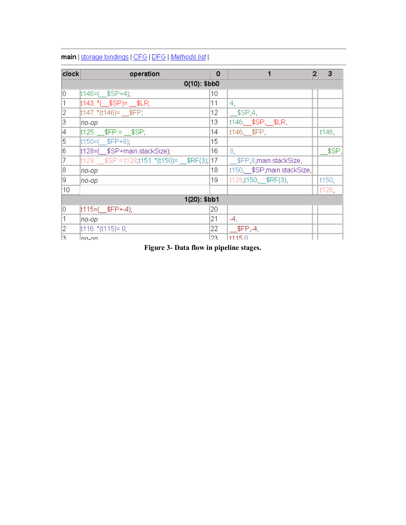| <b>clock</b> | operation                                       | 0   | 1                        | 2 | 3       |
|--------------|-------------------------------------------------|-----|--------------------------|---|---------|
|              | $O(10)$ : \$bb0                                 |     |                          |   |         |
| lo.          | t146=( \$SP+4);                                 | 10  |                          |   |         |
| $\vert$ 1    | $t143$ : $*($ \$SP)= \$LR:                      | 11  | 4,                       |   |         |
| 2            | $ t147;$ *(t146)= $$FP;$                        | 12  | $$\mathsf{SSP4}$$        |   |         |
| 3            | no-op                                           | 13  | t146 __\$SP __\$LR       |   |         |
| 4            | $ t125 $ $ t125 $ $ t125 $                      | 14  | $t146$ $E$ FP            |   | t146,   |
| 5            | $ t150=($ \$FP+8):                              | 15  |                          |   |         |
| 16           | t128=( \$SP+main.stackSize);                    | 16  | 8.                       |   | – \$SP, |
| 17           | $ t129:$ \$SP:= t128 t151: *(t150)= \$RF(3): 17 |     | __\$FP 8 main.stackSize  |   |         |
| 18           | по-ор                                           | 18  | t150 \$SP main.stackSize |   |         |
| I9.          | no-op                                           | 19  | t128 t150 \$RF(3).       |   | t150,   |
| 10           |                                                 |     |                          |   | t128.   |
|              | $1(20)$ : \$bb1                                 |     |                          |   |         |
| 10.          | $ t115=($ \$FP+-4);                             | 20  |                          |   |         |
| 1            | no-op                                           | 21  | -4,                      |   |         |
| 12           | $ t116 $ : *(t115)= 0;                          | 22  | $$FP-4$                  |   |         |
| l3.          | lnn_nn                                          | 23. | 11150                    |   |         |

#### main | storage bindings | CFG | DFG | Methods list |

**Figure 3- Data flow in pipeline stages.**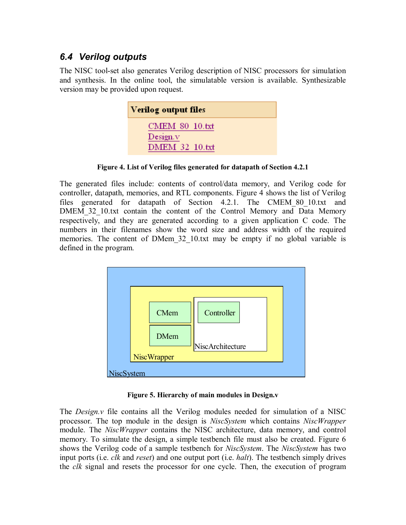### *6.4 Verilog outputs*

The NISC tool-set also generates Verilog description of NISC processors for simulation and synthesis. In the online tool, the simulatable version is available. Synthesizable version may be provided upon request.

| Verilog output files              |
|-----------------------------------|
| <b>CMEM 80 10.txt</b>             |
| Design.v<br><b>DMEM 32 10.txt</b> |

**Figure 4. List of Verilog files generated for datapath of Section 4.2.1** 

The generated files include: contents of control/data memory, and Verilog code for controller, datapath, memories, and RTL components. Figure 4 shows the list of Verilog files generated for datapath of Section 4.2.1. The CMEM\_80\_10.txt and DMEM 32 10.txt contain the content of the Control Memory and Data Memory respectively, and they are generated according to a given application C code. The numbers in their filenames show the word size and address width of the required memories. The content of DMem 32 10.txt may be empty if no global variable is defined in the program.



**Figure 5. Hierarchy of main modules in Design.v** 

The *Design.v* file contains all the Verilog modules needed for simulation of a NISC processor. The top module in the design is *NiscSystem* which contains *NiscWrapper* module. The *NiscWrapper* contains the NISC architecture, data memory, and control memory. To simulate the design, a simple testbench file must also be created. Figure 6 shows the Verilog code of a sample testbench for *NiscSystem*. The *NiscSystem* has two input ports (i.e. *clk* and *reset*) and one output port (i.e. *halt*). The testbench simply drives the *clk* signal and resets the processor for one cycle. Then, the execution of program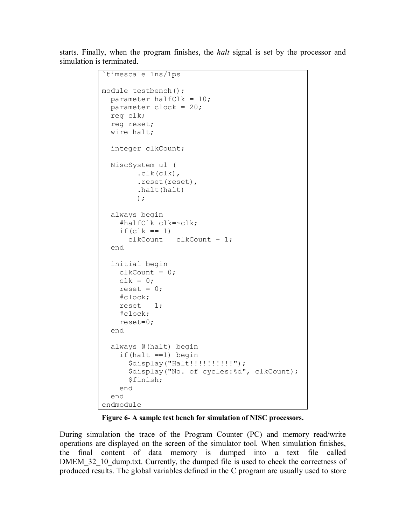starts. Finally, when the program finishes, the *halt* signal is set by the processor and simulation is terminated.

```
timescale 1ns/1ps
module testbench(); 
   parameter halfClk = 10; 
   parameter clock = 20; 
   reg clk; 
   reg reset; 
   wire halt; 
   integer clkCount; 
   NiscSystem u1 ( 
          .clk(clk), 
          .reset(reset), 
          .halt(halt) 
          ); 
   always begin 
     #halfClk clk=~clk; 
    if(clk == 1)clkCount = clkCount + 1; end 
   initial begin 
    clkCount = 0;clk = 0;reset = 0;
     #clock; 
    reset = 1; #clock; 
     reset=0; 
   end 
   always @(halt) begin 
    if(halt ==1) begin
       $display("Halt!!!!!!!!!!");
        $display("No. of cycles:%d", clkCount); 
        $finish; 
     end 
   end 
endmodule
```
**Figure 6- A sample test bench for simulation of NISC processors.** 

During simulation the trace of the Program Counter (PC) and memory read/write operations are displayed on the screen of the simulator tool. When simulation finishes, the final content of data memory is dumped into a text file called DMEM 32\_10\_dump.txt. Currently, the dumped file is used to check the correctness of produced results. The global variables defined in the C program are usually used to store